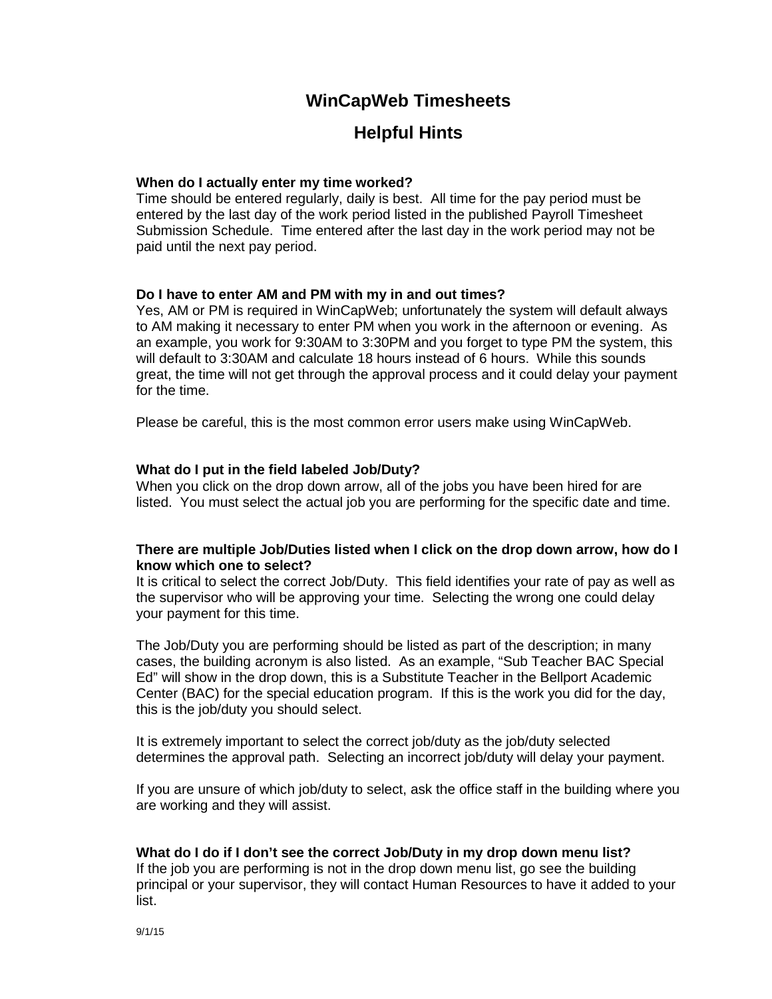# **WinCapWeb Timesheets**

# **Helpful Hints**

## **When do I actually enter my time worked?**

Time should be entered regularly, daily is best. All time for the pay period must be entered by the last day of the work period listed in the published Payroll Timesheet Submission Schedule. Time entered after the last day in the work period may not be paid until the next pay period.

### **Do I have to enter AM and PM with my in and out times?**

Yes, AM or PM is required in WinCapWeb; unfortunately the system will default always to AM making it necessary to enter PM when you work in the afternoon or evening. As an example, you work for 9:30AM to 3:30PM and you forget to type PM the system, this will default to 3:30AM and calculate 18 hours instead of 6 hours. While this sounds great, the time will not get through the approval process and it could delay your payment for the time.

Please be careful, this is the most common error users make using WinCapWeb.

## **What do I put in the field labeled Job/Duty?**

When you click on the drop down arrow, all of the jobs you have been hired for are listed. You must select the actual job you are performing for the specific date and time.

## **There are multiple Job/Duties listed when I click on the drop down arrow, how do I know which one to select?**

It is critical to select the correct Job/Duty. This field identifies your rate of pay as well as the supervisor who will be approving your time. Selecting the wrong one could delay your payment for this time.

The Job/Duty you are performing should be listed as part of the description; in many cases, the building acronym is also listed. As an example, "Sub Teacher BAC Special Ed" will show in the drop down, this is a Substitute Teacher in the Bellport Academic Center (BAC) for the special education program. If this is the work you did for the day, this is the job/duty you should select.

It is extremely important to select the correct job/duty as the job/duty selected determines the approval path. Selecting an incorrect job/duty will delay your payment.

If you are unsure of which job/duty to select, ask the office staff in the building where you are working and they will assist.

### **What do I do if I don't see the correct Job/Duty in my drop down menu list?**

If the job you are performing is not in the drop down menu list, go see the building principal or your supervisor, they will contact Human Resources to have it added to your list.